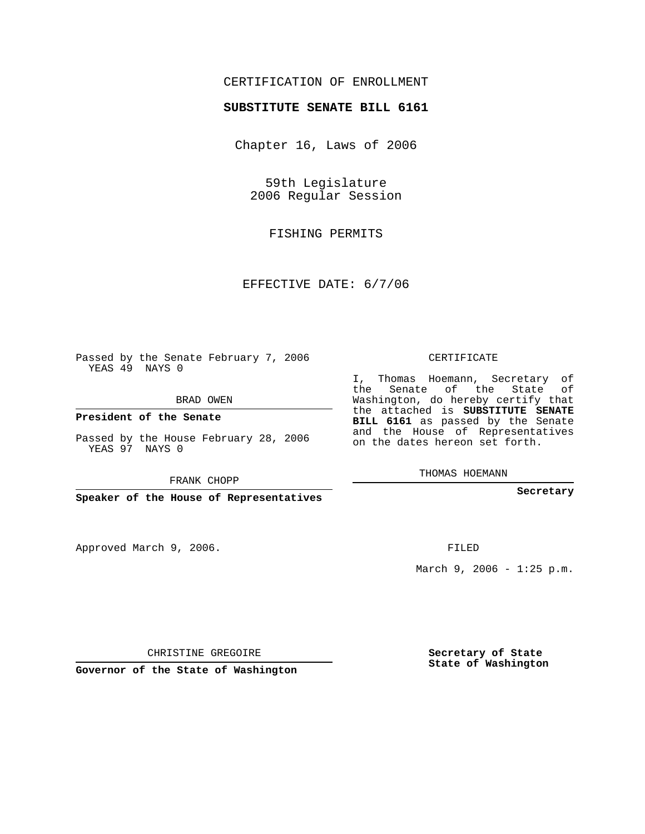## CERTIFICATION OF ENROLLMENT

## **SUBSTITUTE SENATE BILL 6161**

Chapter 16, Laws of 2006

59th Legislature 2006 Regular Session

FISHING PERMITS

EFFECTIVE DATE: 6/7/06

Passed by the Senate February 7, 2006 YEAS 49 NAYS 0

BRAD OWEN

**President of the Senate**

Passed by the House February 28, 2006 YEAS 97 NAYS 0

FRANK CHOPP

**Speaker of the House of Representatives**

Approved March 9, 2006.

CERTIFICATE

I, Thomas Hoemann, Secretary of the Senate of the State of Washington, do hereby certify that the attached is **SUBSTITUTE SENATE BILL 6161** as passed by the Senate and the House of Representatives on the dates hereon set forth.

THOMAS HOEMANN

**Secretary**

FILED

March 9, 2006 - 1:25 p.m.

CHRISTINE GREGOIRE

**Governor of the State of Washington**

**Secretary of State State of Washington**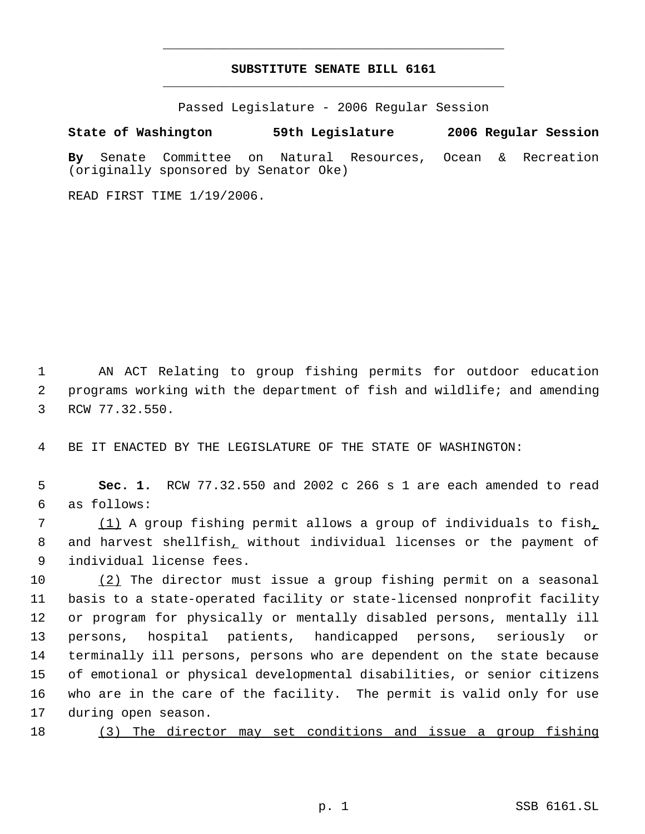## **SUBSTITUTE SENATE BILL 6161** \_\_\_\_\_\_\_\_\_\_\_\_\_\_\_\_\_\_\_\_\_\_\_\_\_\_\_\_\_\_\_\_\_\_\_\_\_\_\_\_\_\_\_\_\_

\_\_\_\_\_\_\_\_\_\_\_\_\_\_\_\_\_\_\_\_\_\_\_\_\_\_\_\_\_\_\_\_\_\_\_\_\_\_\_\_\_\_\_\_\_

Passed Legislature - 2006 Regular Session

**State of Washington 59th Legislature 2006 Regular Session**

**By** Senate Committee on Natural Resources, Ocean & Recreation (originally sponsored by Senator Oke)

READ FIRST TIME 1/19/2006.

 1 AN ACT Relating to group fishing permits for outdoor education 2 programs working with the department of fish and wildlife; and amending 3 RCW 77.32.550.

4 BE IT ENACTED BY THE LEGISLATURE OF THE STATE OF WASHINGTON:

 5 **Sec. 1.** RCW 77.32.550 and 2002 c 266 s 1 are each amended to read 6 as follows:

7 (1) A group fishing permit allows a group of individuals to fish, 8 and harvest shellfish, without individual licenses or the payment of 9 individual license fees.

10 (2) The director must issue a group fishing permit on a seasonal basis to a state-operated facility or state-licensed nonprofit facility or program for physically or mentally disabled persons, mentally ill persons, hospital patients, handicapped persons, seriously or terminally ill persons, persons who are dependent on the state because of emotional or physical developmental disabilities, or senior citizens who are in the care of the facility. The permit is valid only for use during open season.

18 (3) The director may set conditions and issue a group fishing